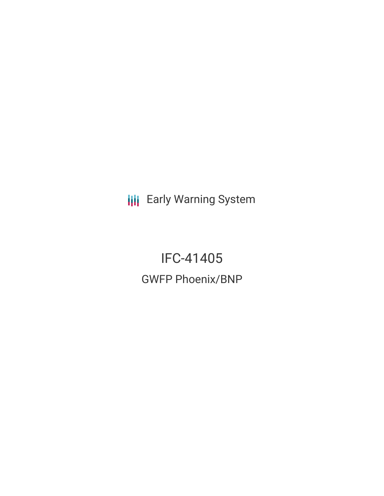**III** Early Warning System

IFC-41405 GWFP Phoenix/BNP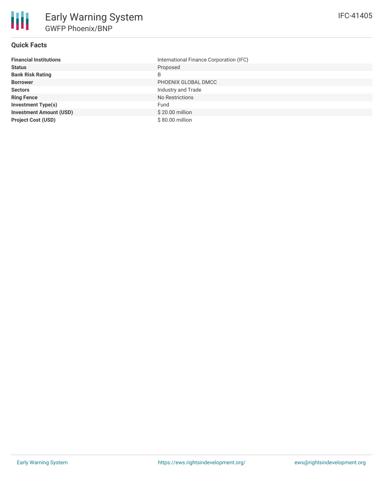

## **Quick Facts**

| <b>Financial Institutions</b>  | International Finance Corporation (IFC) |
|--------------------------------|-----------------------------------------|
| <b>Status</b>                  | Proposed                                |
| <b>Bank Risk Rating</b>        | B                                       |
| <b>Borrower</b>                | PHOENIX GLOBAL DMCC                     |
| <b>Sectors</b>                 | Industry and Trade                      |
| <b>Ring Fence</b>              | No Restrictions                         |
| <b>Investment Type(s)</b>      | Fund                                    |
| <b>Investment Amount (USD)</b> | \$20.00 million                         |
| <b>Project Cost (USD)</b>      | \$80.00 million                         |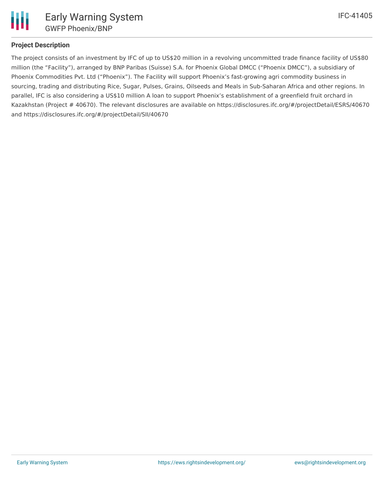

# **Project Description**

The project consists of an investment by IFC of up to US\$20 million in a revolving uncommitted trade finance facility of US\$80 million (the "Facility"), arranged by BNP Paribas (Suisse) S.A. for Phoenix Global DMCC ("Phoenix DMCC"), a subsidiary of Phoenix Commodities Pvt. Ltd ("Phoenix"). The Facility will support Phoenix's fast-growing agri commodity business in sourcing, trading and distributing Rice, Sugar, Pulses, Grains, Oilseeds and Meals in Sub-Saharan Africa and other regions. In parallel, IFC is also considering a US\$10 million A loan to support Phoenix's establishment of a greenfield fruit orchard in Kazakhstan (Project # 40670). The relevant disclosures are available on https://disclosures.ifc.org/#/projectDetail/ESRS/40670 and https://disclosures.ifc.org/#/projectDetail/SII/40670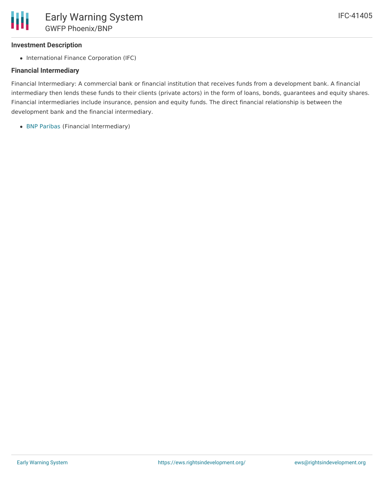## **Investment Description**

• International Finance Corporation (IFC)

## **Financial Intermediary**

Financial Intermediary: A commercial bank or financial institution that receives funds from a development bank. A financial intermediary then lends these funds to their clients (private actors) in the form of loans, bonds, guarantees and equity shares. Financial intermediaries include insurance, pension and equity funds. The direct financial relationship is between the development bank and the financial intermediary.

• BNP [Paribas](file:///actor/1725/) (Financial Intermediary)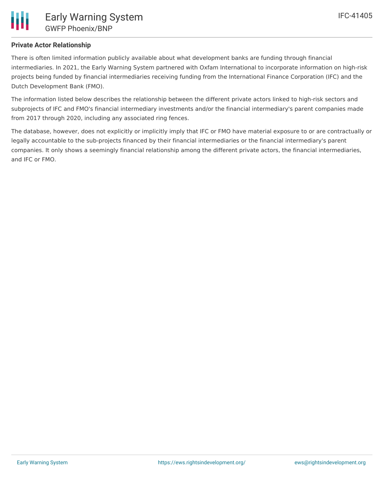## **Private Actor Relationship**

There is often limited information publicly available about what development banks are funding through financial intermediaries. In 2021, the Early Warning System partnered with Oxfam International to incorporate information on high-risk projects being funded by financial intermediaries receiving funding from the International Finance Corporation (IFC) and the Dutch Development Bank (FMO).

The information listed below describes the relationship between the different private actors linked to high-risk sectors and subprojects of IFC and FMO's financial intermediary investments and/or the financial intermediary's parent companies made from 2017 through 2020, including any associated ring fences.

The database, however, does not explicitly or implicitly imply that IFC or FMO have material exposure to or are contractually or legally accountable to the sub-projects financed by their financial intermediaries or the financial intermediary's parent companies. It only shows a seemingly financial relationship among the different private actors, the financial intermediaries, and IFC or FMO.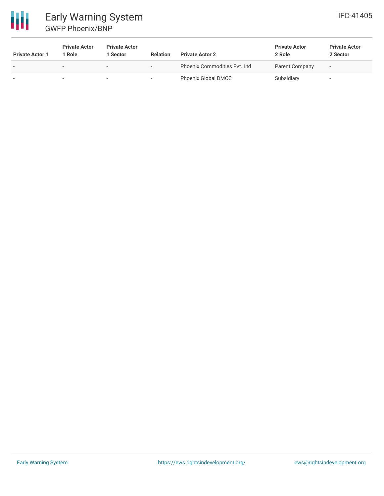

# Early Warning System GWFP Phoenix/BNP

| <b>Private Actor 1</b> | <b>Private Actor</b><br>l Role. | <b>Private Actor</b><br>l Sector | <b>Relation</b> | <b>Private Actor 2</b>       | <b>Private Actor</b><br>2 Role | <b>Private Actor</b><br>2 Sector |
|------------------------|---------------------------------|----------------------------------|-----------------|------------------------------|--------------------------------|----------------------------------|
| -                      | $\sim$                          |                                  |                 | Phoenix Commodities Pyt. Ltd | Parent Company                 | -                                |
|                        | -                               |                                  |                 | Phoenix Global DMCC          | Subsidiary                     | -                                |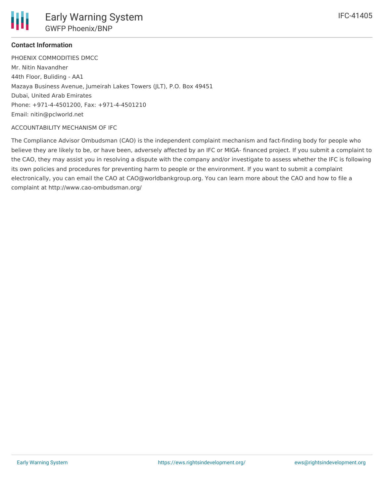

# **Contact Information**

PHOENIX COMMODITIES DMCC Mr. Nitin Navandher 44th Floor, Buliding - AA1 Mazaya Business Avenue, Jumeirah Lakes Towers (JLT), P.O. Box 49451 Dubai, United Arab Emirates Phone: +971-4-4501200, Fax: +971-4-4501210 Email: nitin@pclworld.net

## ACCOUNTABILITY MECHANISM OF IFC

The Compliance Advisor Ombudsman (CAO) is the independent complaint mechanism and fact-finding body for people who believe they are likely to be, or have been, adversely affected by an IFC or MIGA- financed project. If you submit a complaint to the CAO, they may assist you in resolving a dispute with the company and/or investigate to assess whether the IFC is following its own policies and procedures for preventing harm to people or the environment. If you want to submit a complaint electronically, you can email the CAO at CAO@worldbankgroup.org. You can learn more about the CAO and how to file a complaint at http://www.cao-ombudsman.org/